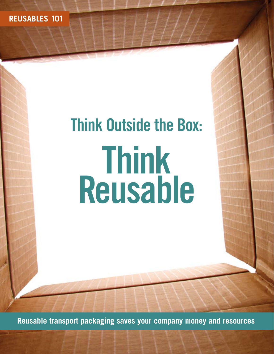**Reusables 101**

# **Think Outside the Box: Think Reusable**

**Reusable transport packaging saves your company money and resources**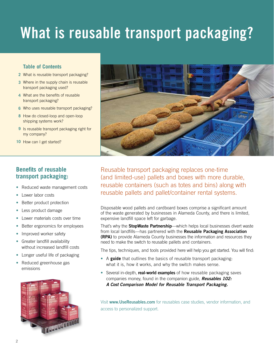## **What is reusable transport packaging?**

#### **Table of Contents**

- What is reusable transport packaging? **2**
- [Where in the supply chain is reusable](#page-2-0)  **3** [transport packaging used?](#page-2-0)
- [What are the benefits of reusable](#page-3-0)  **4** [transport packaging?](#page-3-0)
- [Who uses reusable transport packaging?](#page-5-0) **6**
- [How do closed-loop and open-loop](#page-7-0)  **8** [shipping systems work?](#page-7-0)
- **9** Is reusable transport packaging right for [my company?](#page-8-0)
- 10 [How can I get started?](#page-9-0)

#### **Benefits of reusable transport packaging:**

- Reduced waste management costs
- Lower labor costs
- Better product protection
- Less product damage
- Lower materials costs over time
- Better ergonomics for employees
- Improved worker safety
- Greater landfill availability without increased landfill costs
- Longer useful life of packaging
- Reduced greenhouse gas emissions





Reusable transport packaging replaces one-time (and limited-use) pallets and boxes with more durable, reusable containers (such as totes and bins) along with reusable pallets and pallet/container rental systems.

Disposable wood pallets and cardboard boxes comprise a significant amount of the waste generated by businesses in Alameda County, and there is limited, expensive landfill space left for garbage.

That's why the **StopWaste Partnership**—which helps local businesses divert waste from local landfills—has partnered with the **Reusable Packaging Association (RPA)** to provide Alameda County businesses the information and resources they need to make the switch to reusable pallets and containers.

The tips, techniques, and tools provided here will help you get started. You will find:

- A **guide** that outlines the basics of reusable transport packaging: what it is, how it works, and why the switch makes sense.
- Several in-depth, **real-world examples** of how reusable packaging saves companies money, found in the companion guide, *Reusables 102: A Cost Comparison Model for Reusable Transport Packaging.*

Visit **[www.UseReusables.com](http://www.UseReusables.com)** for reusables case studies, vendor information, and access to personalized support.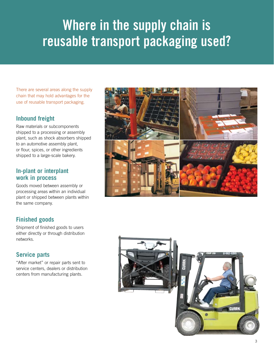### <span id="page-2-0"></span>**Where in the supply chain is reusable transport packaging used?**

There are several areas along the supply chain that may hold advantages for the use of reusable transport packaging.

#### **Inbound freight**

Raw materials or subcomponents shipped to a processing or assembly plant, such as shock absorbers shipped to an automotive assembly plant, or flour, spices, or other ingredients shipped to a large-scale bakery.

#### **In-plant or interplant work in process**

Goods moved between assembly or processing areas within an individual plant or shipped between plants within the same company.

#### **Finished goods**

Shipment of finished goods to users either directly or through distribution networks.

#### **Service parts**

"After market" or repair parts sent to service centers, dealers or distribution centers from manufacturing plants.



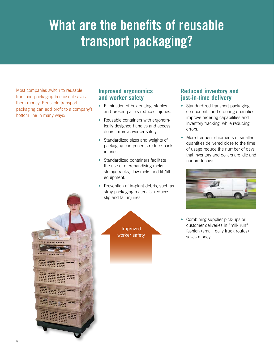### <span id="page-3-0"></span>**What are the benefits of reusable transport packaging?**

Most companies switch to reusable transport packaging because it saves them money. Reusable transport packaging can add profit to a company's bottom line in many ways:

#### **Improved ergonomics and worker safety**

- Elimination of box cutting, staples and broken pallets reduces injuries.
- Reusable containers with ergonomically designed handles and access doors improve worker safety.
- Standardized sizes and weights of packaging components reduce back injuries.
- Standardized containers facilitate the use of merchandising racks, storage racks, flow racks and lift/tilt equipment.
- Prevention of in-plant debris, such as stray packaging materials, reduces slip and fall injuries.



#### **Reduced inventory and just-in-time delivery**

- Standardized transport packaging components and ordering quantities improve ordering capabilities and inventory tracking, while reducing errors.
- More frequent shipments of smaller quantities delivered close to the time of usage reduce the number of days that inventory and dollars are idle and nonproductive.



• Combining supplier pick-ups or customer deliveries in "milk run" fashion (small, daily truck routes) saves money.

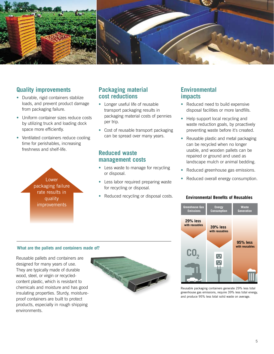

#### **Quality improvements**

- Durable, rigid containers stablize loads, and prevent product damage from packaging failure.
- Uniform container sizes reduce costs by utilizing truck and loading dock space more efficiently.
- Ventilated containers reduce cooling time for perishables, increasing freshness and shelf-life.

packaging failure rate results in quality improvements

#### **Packaging material cost reductions**

- Longer useful life of reusable transport packaging results in packaging material costs of pennies per trip.
- Cost of reusable transport packaging can be spread over many years.

#### **Reduced waste management costs**

- Less waste to manage for recycling or disposal.
- Less labor required preparing waste for recycling or disposal.
- Reduced recycling or disposal costs.

#### **Environmental impacts**

- Reduced need to build expensive disposal facilities or more landfills.
- Help support local recycling and waste reduction goals, by proactively preventing waste before it's created.
- Reusable plastic and metal packaging can be recycled when no longer usable, and wooden pallets can be repaired or ground and used as landscape mulch or animal bedding.
- Reduced greenhouse gas emissions.
- Lower **Lower Figure 2012 Lower CONSUMPTION CONSUMPTION CONSUMPTION CONSUMPTION**

#### **Environmental Benefits of Reusables**



Reusable packaging containers generate 29% less total greenhouse gas emissions, require 39% less total energy, and produce 95% less total solid waste on average.

#### **What are the pallets and containers made of?**

Reusable pallets and containers are designed for many years of use. They are typically made of durable wood, steel, or virgin or recycledcontent plastic, which is resistant to chemicals and moisture and has good insulating properties. Sturdy, moistureproof containers are built to protect products, especially in rough shipping environments.

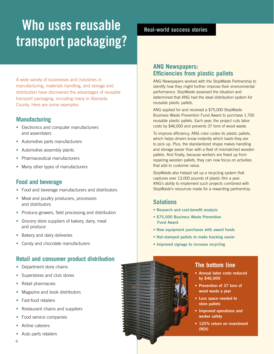### <span id="page-5-0"></span>**Who uses reusable transport packaging?**

A wide variety of businesses and industries in manufacturing, materials handling, and storage and distribution have discovered the advantages of reusable transport packaging, including many in Alameda County. Here are some examples:

#### **Manufacturing**

- Electronics and computer manufacturers and assemblers
- Automotive parts manufacturers
- Automotive assembly plants
- Pharmaceutical manufacturers
- Many other types of manufacturers

#### **Food and beverage**

- Food and beverage manufacturers and distributors
- Meat and poultry producers, processors and distributors
- Produce growers, field processing and distribution
- Grocery store suppliers of bakery, dairy, meat and produce
- Bakery and dairy deliveries
- Candy and chocolate manufacturers

#### **Retail and consumer product distribution**

- Department store chains
- Superstores and club stores
- Retail pharmacies
- Magazine and book distributors
- Fast-food retailers
- Restaurant chains and suppliers
- Food service companies
- Airline caterers
- Auto parts retailers

#### **Real-world success stories**

#### **ANG Newspapers: Efficiencies from plastic pallets**

ANG Newspapers worked with the StopWaste Partnership to identify how they might further improve their environmental performance. StopWaste assessed the situation and determined that ANG had the ideal distribution system for reusable plastic pallets.

ANG applied for and received a \$75,000 StopWaste Business Waste Prevention Fund Award to purchase 1,700 reusable plastic pallets. Each year, the project cuts labor costs by \$46,000 and prevents 37 tons of wood waste.

To improve efficiency, ANG color codes its plastic pallets, which helps drivers know instantly which loads they are to pick up. Plus, the standardized shape makes handling and storage easier than with a fleet of mismatched wooden pallets. And finally, because workers are freed up from repairing wooden pallets, they can now focus on activities that add to customer value.

StopWaste also helped set up a recycling system that captures over 13,000 pounds of plastic film a year. ANG's ability to implement such projects combined with StopWaste's resources made for a rewarding partnership.

#### **Solutions**

- **Research and cost-benefit analysis**
- **\$75,000 Business Waste Prevention Fund Award**
- **New equipment purchases with award funds**
- **Hot-stamped pallets to make tracking easier**
- **Improved signage to increase recycling**

#### **The bottom line**

- **Annual labor costs reduced by \$46,000**
- **Prevention of 37 tons of wood waste a year**
- **Less space needed to store pallets**
- **Improved operations and worker safety**
- **125% return on investment (ROI)**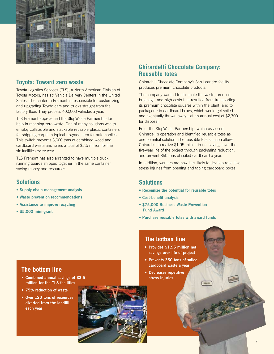

#### **Toyota: Toward zero waste**

Toyota Logistics Services (TLS), a North American Division of Toyota Motors, has six Vehicle Delivery Centers in the United States. The center in Fremont is responsible for customizing and upgrading Toyota cars and trucks straight from the factory floor. They process 400,000 vehicles a year.

TLS Fremont approached the StopWaste Partnership for help in reaching zero waste. One of many solutions was to employ collapsible and stackable reusable plastic containers for shipping carpet, a typical upgrade item for automobiles. This switch prevents 3,000 tons of combined wood and cardboard waste and saves a total of \$3.5 million for the six facilities every year.

TLS Fremont has also arranged to have multiple truck running boards shipped together in the same container, saving money and resources.

#### **Solutions**

- **Supply chain management analysis**
- **Waste prevention recommendations**
- **Assistance to improve recycling**
- **\$5,000 mini-grant**

#### **Ghirardelli Chocolate Company: Reusable totes**

Ghirardelli Chocolate Company's San Leandro facility produces premium chocolate products.

The company wanted to eliminate the waste, product breakage, and high costs that resulted from transporting its premium chocolate squares within the plant (and to packagers) in cardboard boxes, which would get soiled and eventually thrown away—at an annual cost of \$2,700 for disposal.

Enter the StopWaste Partnership, which assessed Ghirardelli's operation and identified reusable totes as one potential solution. The reusable tote solution allows Ghirardelli to realize \$1.95 million in net savings over the five-year life of the project through packaging reduction, and prevent 350 tons of soiled cardboard a year.

In addition, workers are now less likely to develop repetitive stress injuries from opening and taping cardboard boxes.

#### **Solutions**

- **Recognize the potential for reusable totes**
- **Cost-benefit analysis**
- **\$75,000 Business Waste Prevention Fund Award**
- **Purchase reusable totes with award funds**

#### **The bottom line**

- **Provides \$1.95 million net savings over life of project**
- **Prevents 350 tons of soiled cardboard waste a year**
- **Decreases repetitive stress injuries**

#### **The bottom line**

- **Combined annual savings of \$3.5 million for the TLS facilities**
- **75% reduction of waste**
- **Over 120 tons of resources diverted from the landfill each year**

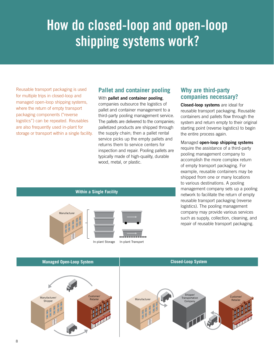### <span id="page-7-0"></span>**How do closed-loop and open-loop shipping systems work?**

Reusable transport packaging is used for multiple trips in closed-loop and managed open-loop shipping systems, where the return of empty transport packaging components ("reverse logistics") can be repeated. Reusables are also frequently used in-plant for storage or transport within a single facility.

#### **Pallet and container pooling**

With **pallet and container pooling**, companies outsource the logistics of pallet and container management to a third-party pooling management service. The pallets are delivered to the companies; palletized products are shipped through the supply chain; then a pallet rental service picks up the empty pallets and returns them to service centers for inspection and repair. Pooling pallets are typically made of high-quality, durable wood, metal, or plastic.

#### **Why are third-party companies necessary?**

**Closed-loop systems** are ideal for reusable transport packaging. Reusable containers and pallets flow through the system and return empty to their original starting point (reverse logistics) to begin the entire process again.

Managed **open-loop shipping systems** require the assistance of a third-party pooling management company to accomplish the more complex return of empty transport packaging. For example, reusable containers may be shipped from one or many locations to various destinations. A pooling management company sets up a pooling network to facilitate the return of empty reusable transport packaging (reverse logistics). The pooling management company may provide various services such as supply, collection, cleaning, and repair of reusable transport packaging.

#### **Within a Single Facility**



#### **Managed Open-Loop System Closed-Loop System**



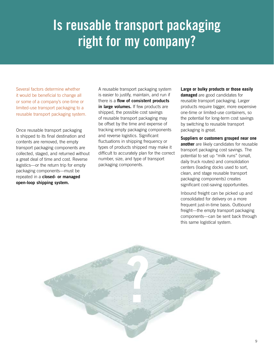### <span id="page-8-0"></span>**Is reusable transport packaging right for my company?**

Several factors determine whether it would be beneficial to change all or some of a company's one-time or limited-use transport packaging to a reusable transport packaging system.

Once reusable transport packaging is shipped to its final destination and contents are removed, the empty transport packaging components are collected, staged, and returned without a great deal of time and cost. Reverse logistics—or the return trip for empty packaging components—must be repeated in a **closed- or managed open-loop shipping system.** 

A reusable transport packaging system is easier to justify, maintain, and run if there is a **flow of consistent products**  in large volumes. If few products are shipped, the possible cost savings of reusable transport packaging may be offset by the time and expense of tracking empty packaging components and reverse logistics. Significant fluctuations in shipping frequency or types of products shipped may make it difficult to accurately plan for the correct number, size, and type of transport packaging components.

**Large or bulky products or those easily damaged** are good candidates for reusable transport packaging. Larger products require bigger, more expensive one-time or limited-use containers, so the potential for long-term cost savings by switching to reusable transport packaging is great.

#### **Suppliers or customers grouped near one**

**another** are likely candidates for reusable transport packaging cost savings. The potential to set up "milk runs" (small, daily truck routes) and consolidation centers (loading docks used to sort, clean, and stage reusable transport packaging components) creates significant cost-saving opportunities.

Inbound freight can be picked up and consolidated for delivery on a more frequent just-in-time basis. Outbound freight—the empty transport packaging components—can be sent back through this same logistical system.

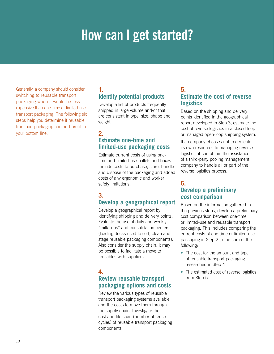### <span id="page-9-0"></span>**How can I get started?**

Generally, a company should consider switching to reusable transport packaging when it would be less expensive than one-time or limited-use transport packaging. The following six steps help you determine if reusable transport packaging can add profit to your bottom line.

#### **1. Identify potential products**

Develop a list of products frequently shipped in large volume and/or that are consistent in type, size, shape and weight.

#### **2. Estimate one-time and limited-use packaging costs**

Estimate current costs of using onetime and limited-use pallets and boxes. Include costs to purchase, store, handle and dispose of the packaging and added costs of any ergonomic and worker safety limitations.

#### **3. Develop a geographical report**

Develop a geographical report by identifying shipping and delivery points. Evaluate the use of daily and weekly "milk runs" and consolidation centers (loading docks used to sort, clean and stage reusable packaging components). Also consider the supply chain; it may be possible to facilitate a move to reusables with suppliers.

#### **4. Review reusable transport packaging options and costs**

Review the various types of reusable transport packaging systems available and the costs to move them through the supply chain. Investigate the cost and life span (number of reuse cycles) of reusable transport packaging components.

#### **5. Estimate the cost of reverse logistics**

Based on the shipping and delivery points identified in the geographical report developed in Step 3, estimate the cost of reverse logistics in a closed-loop or managed open-loop shipping system.

If a company chooses not to dedicate its own resources to managing reverse logistics, it can obtain the assistance of a third-party pooling management company to handle all or part of the reverse logistics process.

#### **6. Develop a preliminary cost comparison**

Based on the information gathered in the previous steps, develop a preliminary cost comparison between one-time or limited-use and reusable transport packaging. This includes comparing the current costs of one-time or limited-use packaging in Step 2 to the sum of the following:

- The cost for the amount and type of reusable transport packaging researched in Step 4
- The estimated cost of reverse logistics from Step 5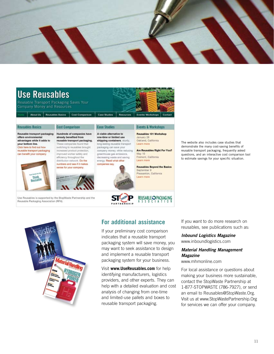

| <b>About Us</b>                                                                                                                                                                                                             | <b>Reusables Basics</b>                                                                                                                                                                                                                                                                                                                      | <b>Cost Comparison</b> | <b>Case Studies</b>                                                                                                                                                                                                                                                                        | <b>Resources</b> | <b>Events/Workshops</b>                                                                                                                                                                                                                               | Contact |
|-----------------------------------------------------------------------------------------------------------------------------------------------------------------------------------------------------------------------------|----------------------------------------------------------------------------------------------------------------------------------------------------------------------------------------------------------------------------------------------------------------------------------------------------------------------------------------------|------------------------|--------------------------------------------------------------------------------------------------------------------------------------------------------------------------------------------------------------------------------------------------------------------------------------------|------------------|-------------------------------------------------------------------------------------------------------------------------------------------------------------------------------------------------------------------------------------------------------|---------|
| <b>Reusables Basics</b>                                                                                                                                                                                                     | <b>Cost Comparison</b>                                                                                                                                                                                                                                                                                                                       |                        | <b>Case Studies</b>                                                                                                                                                                                                                                                                        |                  | <b>Events &amp; Workshops</b>                                                                                                                                                                                                                         |         |
| Reusable transport packaging<br>offers environmental<br>advantages while it adds to<br>your bottom line.<br>Click here to find out how<br>reusable transport packaging<br>can benefit your company.<br>the fightest for fam | Hundreds of companies have<br>already benefited from<br>reusable transport packaging.<br>These companies found that<br>switching to reusables brought.<br>increased product protection.<br>improved worker safety and<br>efficiency throughout the<br>distribution network. Do the<br>numbers and see if it makes<br>sense for your company. |                        | A viable alternative to<br>one-time or limited use<br>shipping containers, sturdy,<br>long-lasting reusable transport<br>packaging can saye your<br>company money, while reducing<br>greenhouse gas emissions.<br>decreasing waste and saving<br>energy. Read what other<br>companies say. |                  | Reusables 101 Workshop<br>January 28<br>Oakland, California<br>Learn more<br>Are Reusables Right For You?<br>May 10<br>Fremont, California<br>Learn more<br><b>Reusables Beyond the Basics</b><br>September 9<br>Pleasanton, California<br>Learn more |         |

Use Reusables is supported by the StopWaste Partnership and the

Reusable Packaging Association (RPA).

#### **For additional assistance**

If your preliminary cost comparison indicates that a reusable transport packaging system will save money, you may want to seek assistance to design and implement a reusable transport packaging system for your business.

Visit **[www.UseReusables.com](http://www.UseReusables.com)** for help identifying manufacturers, logistics providers, and other experts. They can help with a detailed evaluation and cost analysis of changing from one-time and limited-use pallets and boxes to reusable transport packaging.

If you want to do more research on reusables, see publications such as:

The website also includes case studies that demonstrate the many cost-saving benefits of reusable transport packaging, frequently asked questions, and an interactive cost comparison tool to estimate savings for your specific situation.

*Inbound Logistics Magazine* [www.inboundlogistics.com](http://www.inboundlogistics.com)

#### *Material Handling Management Magazine*

[www.mhmonline.com](http://www.mhmonline.com)

For local assistance or questions about making your business more sustainable, contact the StopWaste Partnership at 1-877-STOPWASTE (786-7927), or send an email to Reusables@StopWaste.Org. Visit us at [www.StopWastePartnership.Org](http://www.StopWastePartnership.Org) for services we can offer your company.